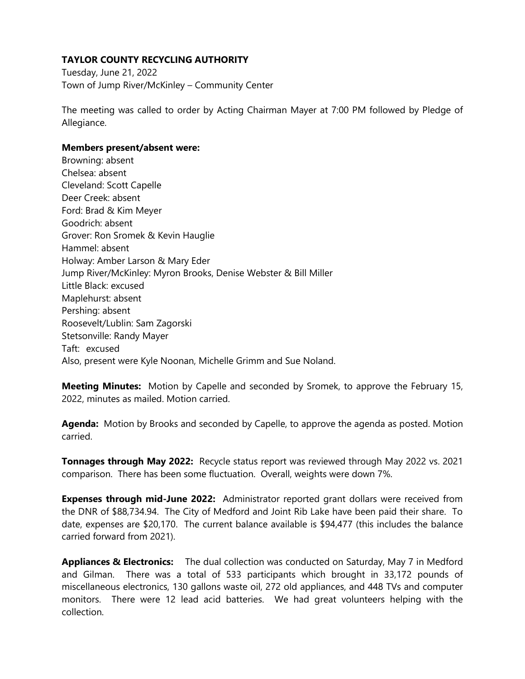## **TAYLOR COUNTY RECYCLING AUTHORITY**

Tuesday, June 21, 2022 Town of Jump River/McKinley – Community Center

The meeting was called to order by Acting Chairman Mayer at 7:00 PM followed by Pledge of Allegiance.

## **Members present/absent were:**

Browning: absent Chelsea: absent Cleveland: Scott Capelle Deer Creek: absent Ford: Brad & Kim Meyer Goodrich: absent Grover: Ron Sromek & Kevin Hauglie Hammel: absent Holway: Amber Larson & Mary Eder Jump River/McKinley: Myron Brooks, Denise Webster & Bill Miller Little Black: excused Maplehurst: absent Pershing: absent Roosevelt/Lublin: Sam Zagorski Stetsonville: Randy Mayer Taft: excused Also, present were Kyle Noonan, Michelle Grimm and Sue Noland.

**Meeting Minutes:** Motion by Capelle and seconded by Sromek, to approve the February 15, 2022, minutes as mailed. Motion carried.

**Agenda:** Motion by Brooks and seconded by Capelle, to approve the agenda as posted. Motion carried.

**Tonnages through May 2022:** Recycle status report was reviewed through May 2022 vs. 2021 comparison. There has been some fluctuation. Overall, weights were down 7%.

**Expenses through mid-June 2022:** Administrator reported grant dollars were received from the DNR of \$88,734.94. The City of Medford and Joint Rib Lake have been paid their share. To date, expenses are \$20,170. The current balance available is \$94,477 (this includes the balance carried forward from 2021).

**Appliances & Electronics:** The dual collection was conducted on Saturday, May 7 in Medford and Gilman. There was a total of 533 participants which brought in 33,172 pounds of miscellaneous electronics, 130 gallons waste oil, 272 old appliances, and 448 TVs and computer monitors. There were 12 lead acid batteries. We had great volunteers helping with the collection.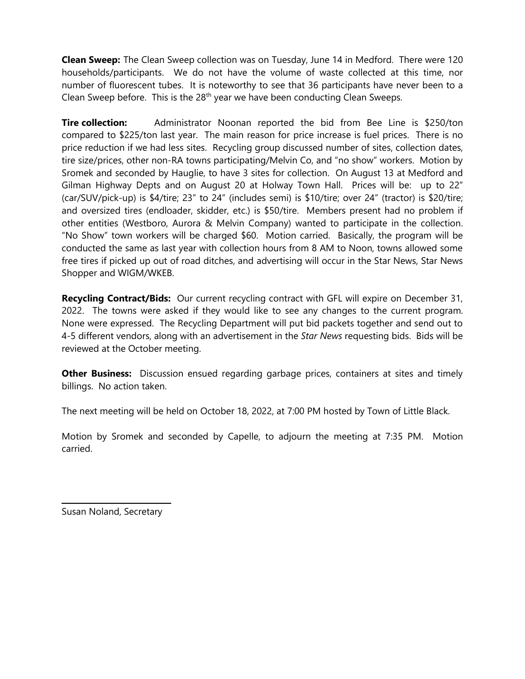**Clean Sweep:** The Clean Sweep collection was on Tuesday, June 14 in Medford. There were 120 households/participants. We do not have the volume of waste collected at this time, nor number of fluorescent tubes. It is noteworthy to see that 36 participants have never been to a Clean Sweep before. This is the  $28<sup>th</sup>$  year we have been conducting Clean Sweeps.

**Tire collection:** Administrator Noonan reported the bid from Bee Line is \$250/ton compared to \$225/ton last year. The main reason for price increase is fuel prices. There is no price reduction if we had less sites. Recycling group discussed number of sites, collection dates, tire size/prices, other non-RA towns participating/Melvin Co, and "no show" workers. Motion by Sromek and seconded by Hauglie, to have 3 sites for collection. On August 13 at Medford and Gilman Highway Depts and on August 20 at Holway Town Hall. Prices will be: up to 22" (car/SUV/pick-up) is \$4/tire; 23" to 24" (includes semi) is \$10/tire; over 24" (tractor) is \$20/tire; and oversized tires (endloader, skidder, etc.) is \$50/tire. Members present had no problem if other entities (Westboro, Aurora & Melvin Company) wanted to participate in the collection. "No Show" town workers will be charged \$60. Motion carried. Basically, the program will be conducted the same as last year with collection hours from 8 AM to Noon, towns allowed some free tires if picked up out of road ditches, and advertising will occur in the Star News, Star News Shopper and WIGM/WKEB.

**Recycling Contract/Bids:** Our current recycling contract with GFL will expire on December 31, 2022. The towns were asked if they would like to see any changes to the current program. None were expressed. The Recycling Department will put bid packets together and send out to 4-5 different vendors, along with an advertisement in the *Star News* requesting bids. Bids will be reviewed at the October meeting.

**Other Business:** Discussion ensued regarding garbage prices, containers at sites and timely billings. No action taken.

The next meeting will be held on October 18, 2022, at 7:00 PM hosted by Town of Little Black.

Motion by Sromek and seconded by Capelle, to adjourn the meeting at 7:35 PM. Motion carried.

\_\_\_\_\_\_\_\_\_\_\_\_\_\_\_\_\_\_\_\_\_\_\_\_\_\_\_\_ Susan Noland, Secretary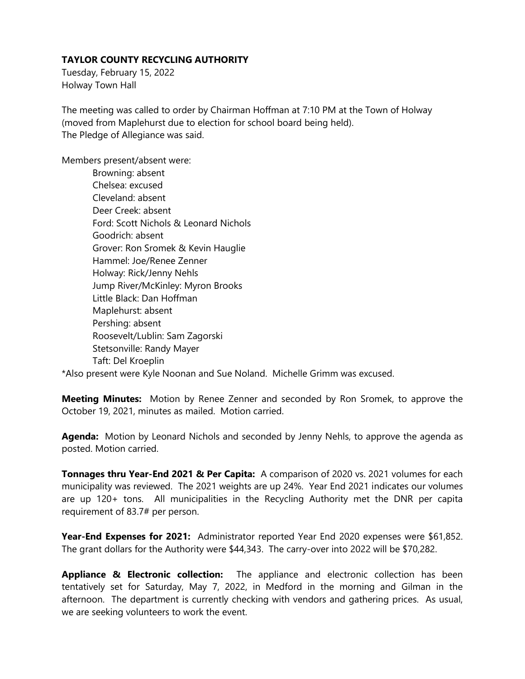## **TAYLOR COUNTY RECYCLING AUTHORITY**

Tuesday, February 15, 2022 Holway Town Hall

The meeting was called to order by Chairman Hoffman at 7:10 PM at the Town of Holway (moved from Maplehurst due to election for school board being held). The Pledge of Allegiance was said.

Members present/absent were:

Browning: absent Chelsea: excused Cleveland: absent Deer Creek: absent Ford: Scott Nichols & Leonard Nichols Goodrich: absent Grover: Ron Sromek & Kevin Hauglie Hammel: Joe/Renee Zenner Holway: Rick/Jenny Nehls Jump River/McKinley: Myron Brooks Little Black: Dan Hoffman Maplehurst: absent Pershing: absent Roosevelt/Lublin: Sam Zagorski Stetsonville: Randy Mayer Taft: Del Kroeplin

\*Also present were Kyle Noonan and Sue Noland. Michelle Grimm was excused.

**Meeting Minutes:** Motion by Renee Zenner and seconded by Ron Sromek, to approve the October 19, 2021, minutes as mailed. Motion carried.

**Agenda:** Motion by Leonard Nichols and seconded by Jenny Nehls, to approve the agenda as posted. Motion carried.

**Tonnages thru Year-End 2021 & Per Capita:** A comparison of 2020 vs. 2021 volumes for each municipality was reviewed. The 2021 weights are up 24%. Year End 2021 indicates our volumes are up 120+ tons. All municipalities in the Recycling Authority met the DNR per capita requirement of 83.7# per person.

Year-End Expenses for 2021: Administrator reported Year End 2020 expenses were \$61,852. The grant dollars for the Authority were \$44,343. The carry-over into 2022 will be \$70,282.

**Appliance & Electronic collection:** The appliance and electronic collection has been tentatively set for Saturday, May 7, 2022, in Medford in the morning and Gilman in the afternoon. The department is currently checking with vendors and gathering prices. As usual, we are seeking volunteers to work the event.